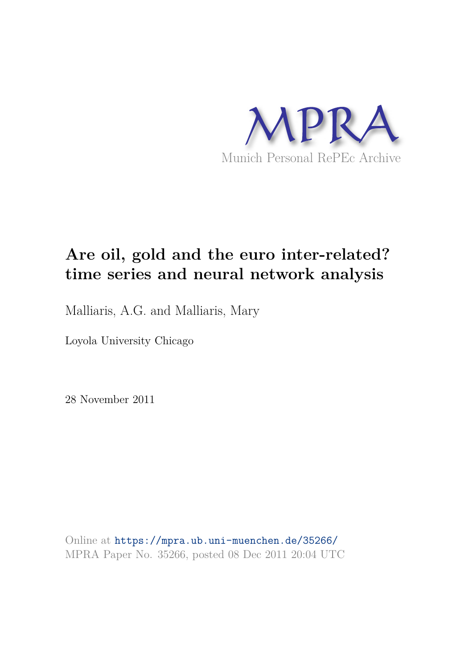

# **Are oil, gold and the euro inter-related? time series and neural network analysis**

Malliaris, A.G. and Malliaris, Mary

Loyola University Chicago

28 November 2011

Online at https://mpra.ub.uni-muenchen.de/35266/ MPRA Paper No. 35266, posted 08 Dec 2011 20:04 UTC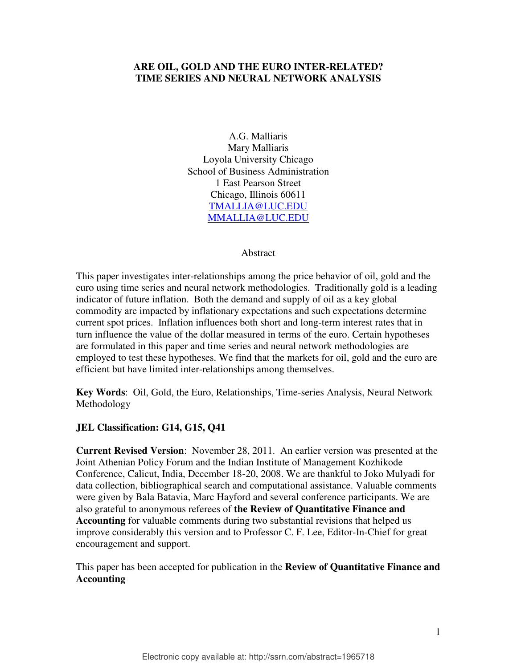# **ARE OIL, GOLD AND THE EURO INTER-RELATED? TIME SERIES AND NEURAL NETWORK ANALYSIS**

A.G. Malliaris Mary Malliaris Loyola University Chicago School of Business Administration 1 East Pearson Street Chicago, Illinois 60611 [TMALLIA@LUC.EDU](mailto:TMALLIA@LUC.EDU) [MMALLIA@LUC.EDU](mailto:MMALLIA@LUC.EDU)

#### Abstract

This paper investigates inter-relationships among the price behavior of oil, gold and the euro using time series and neural network methodologies. Traditionally gold is a leading indicator of future inflation. Both the demand and supply of oil as a key global commodity are impacted by inflationary expectations and such expectations determine current spot prices. Inflation influences both short and long-term interest rates that in turn influence the value of the dollar measured in terms of the euro. Certain hypotheses are formulated in this paper and time series and neural network methodologies are employed to test these hypotheses. We find that the markets for oil, gold and the euro are efficient but have limited inter-relationships among themselves.

**Key Words**: Oil, Gold, the Euro, Relationships, Time-series Analysis, Neural Network Methodology

## **JEL Classification: G14, G15, Q41**

**Current Revised Version**: November 28, 2011. An earlier version was presented at the Joint Athenian Policy Forum and the Indian Institute of Management Kozhikode Conference, Calicut, India, December 18-20, 2008. We are thankful to Joko Mulyadi for data collection, bibliographical search and computational assistance. Valuable comments were given by Bala Batavia, Marc Hayford and several conference participants. We are also grateful to anonymous referees of **the Review of Quantitative Finance and Accounting** for valuable comments during two substantial revisions that helped us improve considerably this version and to Professor C. F. Lee, Editor-In-Chief for great encouragement and support.

This paper has been accepted for publication in the **Review of Quantitative Finance and Accounting**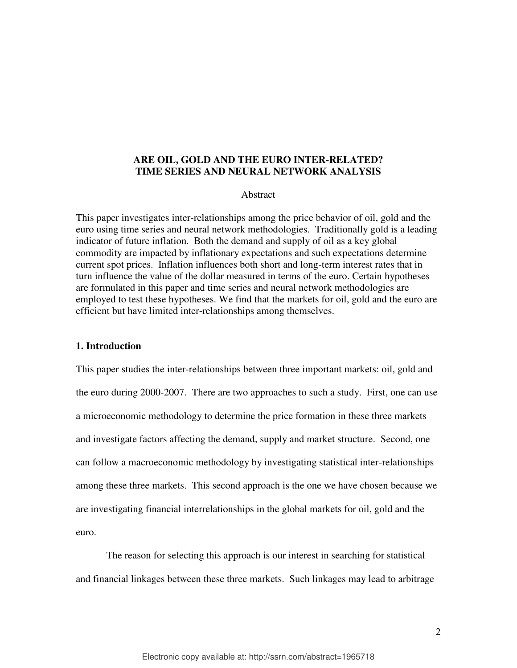## **ARE OIL, GOLD AND THE EURO INTER-RELATED? TIME SERIES AND NEURAL NETWORK ANALYSIS**

## Abstract

This paper investigates inter-relationships among the price behavior of oil, gold and the euro using time series and neural network methodologies. Traditionally gold is a leading indicator of future inflation. Both the demand and supply of oil as a key global commodity are impacted by inflationary expectations and such expectations determine current spot prices. Inflation influences both short and long-term interest rates that in turn influence the value of the dollar measured in terms of the euro. Certain hypotheses are formulated in this paper and time series and neural network methodologies are employed to test these hypotheses. We find that the markets for oil, gold and the euro are efficient but have limited inter-relationships among themselves.

#### **1. Introduction**

This paper studies the inter-relationships between three important markets: oil, gold and the euro during 2000-2007. There are two approaches to such a study. First, one can use a microeconomic methodology to determine the price formation in these three markets and investigate factors affecting the demand, supply and market structure. Second, one can follow a macroeconomic methodology by investigating statistical inter-relationships among these three markets. This second approach is the one we have chosen because we are investigating financial interrelationships in the global markets for oil, gold and the euro.

The reason for selecting this approach is our interest in searching for statistical and financial linkages between these three markets. Such linkages may lead to arbitrage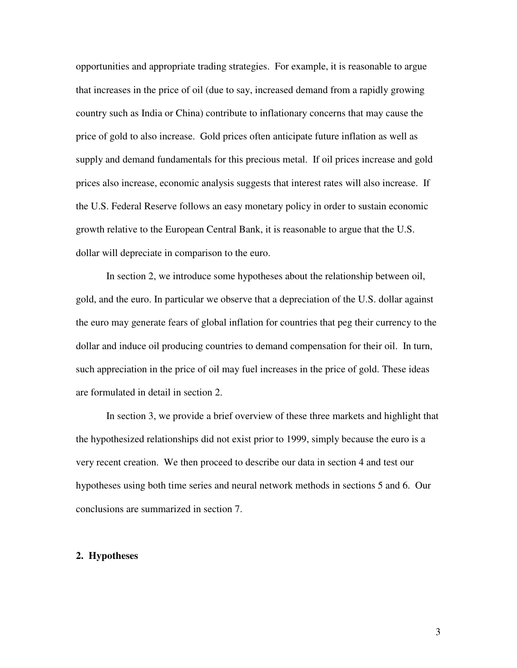opportunities and appropriate trading strategies. For example, it is reasonable to argue that increases in the price of oil (due to say, increased demand from a rapidly growing country such as India or China) contribute to inflationary concerns that may cause the price of gold to also increase. Gold prices often anticipate future inflation as well as supply and demand fundamentals for this precious metal. If oil prices increase and gold prices also increase, economic analysis suggests that interest rates will also increase. If the U.S. Federal Reserve follows an easy monetary policy in order to sustain economic growth relative to the European Central Bank, it is reasonable to argue that the U.S. dollar will depreciate in comparison to the euro.

In section 2, we introduce some hypotheses about the relationship between oil, gold, and the euro. In particular we observe that a depreciation of the U.S. dollar against the euro may generate fears of global inflation for countries that peg their currency to the dollar and induce oil producing countries to demand compensation for their oil. In turn, such appreciation in the price of oil may fuel increases in the price of gold. These ideas are formulated in detail in section 2.

In section 3, we provide a brief overview of these three markets and highlight that the hypothesized relationships did not exist prior to 1999, simply because the euro is a very recent creation. We then proceed to describe our data in section 4 and test our hypotheses using both time series and neural network methods in sections 5 and 6. Our conclusions are summarized in section 7.

#### **2. Hypotheses**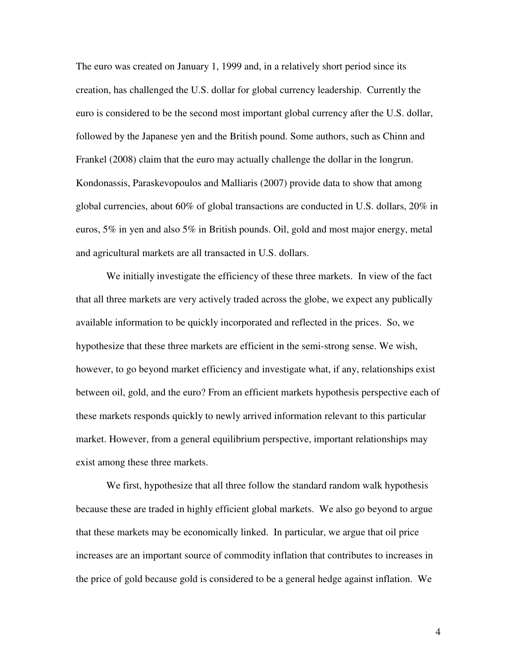The euro was created on January 1, 1999 and, in a relatively short period since its creation, has challenged the U.S. dollar for global currency leadership. Currently the euro is considered to be the second most important global currency after the U.S. dollar, followed by the Japanese yen and the British pound. Some authors, such as Chinn and Frankel (2008) claim that the euro may actually challenge the dollar in the longrun. Kondonassis, Paraskevopoulos and Malliaris (2007) provide data to show that among global currencies, about 60% of global transactions are conducted in U.S. dollars, 20% in euros, 5% in yen and also 5% in British pounds. Oil, gold and most major energy, metal and agricultural markets are all transacted in U.S. dollars.

 We initially investigate the efficiency of these three markets. In view of the fact that all three markets are very actively traded across the globe, we expect any publically available information to be quickly incorporated and reflected in the prices. So, we hypothesize that these three markets are efficient in the semi-strong sense. We wish, however, to go beyond market efficiency and investigate what, if any, relationships exist between oil, gold, and the euro? From an efficient markets hypothesis perspective each of these markets responds quickly to newly arrived information relevant to this particular market. However, from a general equilibrium perspective, important relationships may exist among these three markets.

 We first, hypothesize that all three follow the standard random walk hypothesis because these are traded in highly efficient global markets. We also go beyond to argue that these markets may be economically linked. In particular, we argue that oil price increases are an important source of commodity inflation that contributes to increases in the price of gold because gold is considered to be a general hedge against inflation. We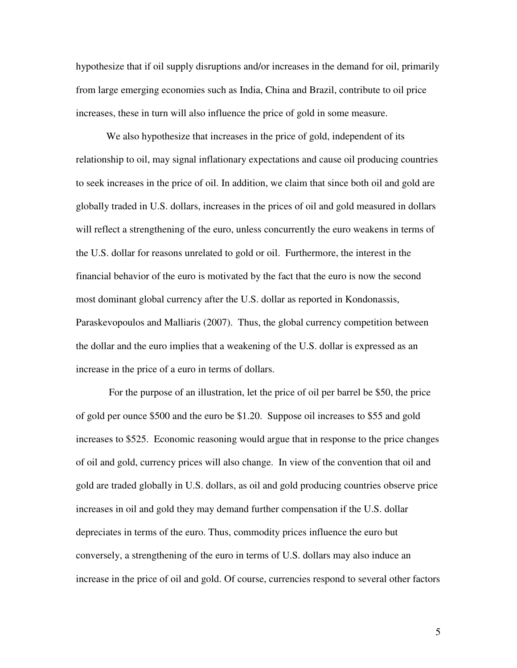hypothesize that if oil supply disruptions and/or increases in the demand for oil, primarily from large emerging economies such as India, China and Brazil, contribute to oil price increases, these in turn will also influence the price of gold in some measure.

 We also hypothesize that increases in the price of gold, independent of its relationship to oil, may signal inflationary expectations and cause oil producing countries to seek increases in the price of oil. In addition, we claim that since both oil and gold are globally traded in U.S. dollars, increases in the prices of oil and gold measured in dollars will reflect a strengthening of the euro, unless concurrently the euro weakens in terms of the U.S. dollar for reasons unrelated to gold or oil. Furthermore, the interest in the financial behavior of the euro is motivated by the fact that the euro is now the second most dominant global currency after the U.S. dollar as reported in Kondonassis, Paraskevopoulos and Malliaris (2007). Thus, the global currency competition between the dollar and the euro implies that a weakening of the U.S. dollar is expressed as an increase in the price of a euro in terms of dollars.

 For the purpose of an illustration, let the price of oil per barrel be \$50, the price of gold per ounce \$500 and the euro be \$1.20. Suppose oil increases to \$55 and gold increases to \$525. Economic reasoning would argue that in response to the price changes of oil and gold, currency prices will also change. In view of the convention that oil and gold are traded globally in U.S. dollars, as oil and gold producing countries observe price increases in oil and gold they may demand further compensation if the U.S. dollar depreciates in terms of the euro. Thus, commodity prices influence the euro but conversely, a strengthening of the euro in terms of U.S. dollars may also induce an increase in the price of oil and gold. Of course, currencies respond to several other factors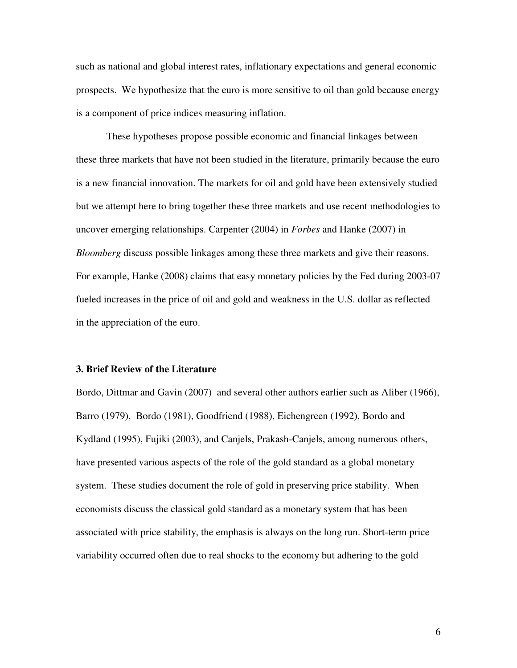such as national and global interest rates, inflationary expectations and general economic prospects. We hypothesize that the euro is more sensitive to oil than gold because energy is a component of price indices measuring inflation.

 These hypotheses propose possible economic and financial linkages between these three markets that have not been studied in the literature, primarily because the euro is a new financial innovation. The markets for oil and gold have been extensively studied but we attempt here to bring together these three markets and use recent methodologies to uncover emerging relationships. Carpenter (2004) in *Forbes* and Hanke (2007) in *Bloomberg* discuss possible linkages among these three markets and give their reasons. For example, Hanke (2008) claims that easy monetary policies by the Fed during 2003-07 fueled increases in the price of oil and gold and weakness in the U.S. dollar as reflected in the appreciation of the euro.

### **3. Brief Review of the Literature**

Bordo, Dittmar and Gavin (2007) and several other authors earlier such as Aliber (1966), Barro (1979), Bordo (1981), Goodfriend (1988), Eichengreen (1992), Bordo and Kydland (1995), Fujiki (2003), and Canjels, Prakash-Canjels, among numerous others, have presented various aspects of the role of the gold standard as a global monetary system. These studies document the role of gold in preserving price stability. When economists discuss the classical gold standard as a monetary system that has been associated with price stability, the emphasis is always on the long run. Short-term price variability occurred often due to real shocks to the economy but adhering to the gold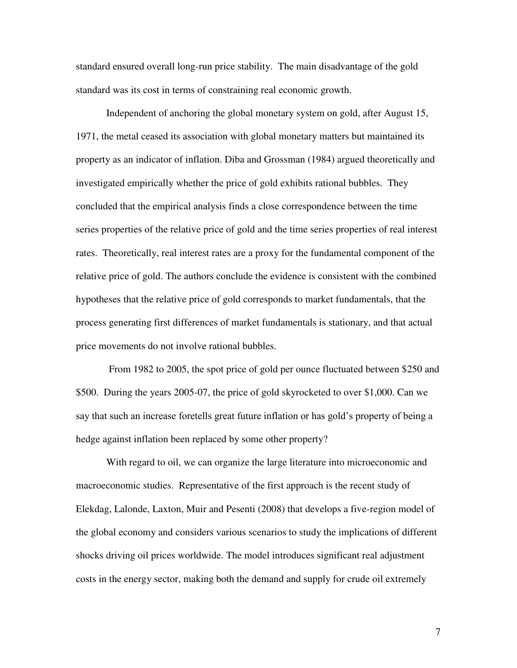standard ensured overall long-run price stability. The main disadvantage of the gold standard was its cost in terms of constraining real economic growth.

 Independent of anchoring the global monetary system on gold, after August 15, 1971, the metal ceased its association with global monetary matters but maintained its property as an indicator of inflation. Diba and Grossman (1984) argued theoretically and investigated empirically whether the price of gold exhibits rational bubbles. They concluded that the empirical analysis finds a close correspondence between the time series properties of the relative price of gold and the time series properties of real interest rates. Theoretically, real interest rates are a proxy for the fundamental component of the relative price of gold. The authors conclude the evidence is consistent with the combined hypotheses that the relative price of gold corresponds to market fundamentals, that the process generating first differences of market fundamentals is stationary, and that actual price movements do not involve rational bubbles.

 From 1982 to 2005, the spot price of gold per ounce fluctuated between \$250 and \$500. During the years 2005-07, the price of gold skyrocketed to over \$1,000. Can we say that such an increase foretells great future inflation or has gold's property of being a hedge against inflation been replaced by some other property?

 With regard to oil, we can organize the large literature into microeconomic and macroeconomic studies. Representative of the first approach is the recent study of Elekdag, Lalonde, Laxton, Muir and Pesenti (2008) that develops a five-region model of the global economy and considers various scenarios to study the implications of different shocks driving oil prices worldwide. The model introduces significant real adjustment costs in the energy sector, making both the demand and supply for crude oil extremely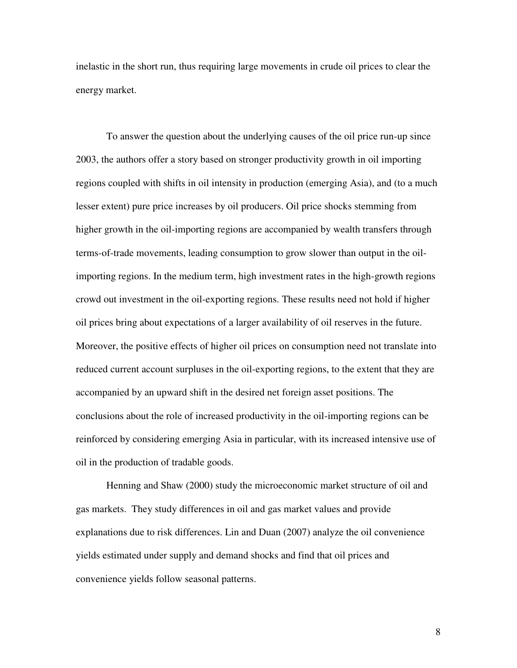inelastic in the short run, thus requiring large movements in crude oil prices to clear the energy market.

 To answer the question about the underlying causes of the oil price run-up since 2003, the authors offer a story based on stronger productivity growth in oil importing regions coupled with shifts in oil intensity in production (emerging Asia), and (to a much lesser extent) pure price increases by oil producers. Oil price shocks stemming from higher growth in the oil-importing regions are accompanied by wealth transfers through terms-of-trade movements, leading consumption to grow slower than output in the oilimporting regions. In the medium term, high investment rates in the high-growth regions crowd out investment in the oil-exporting regions. These results need not hold if higher oil prices bring about expectations of a larger availability of oil reserves in the future. Moreover, the positive effects of higher oil prices on consumption need not translate into reduced current account surpluses in the oil-exporting regions, to the extent that they are accompanied by an upward shift in the desired net foreign asset positions. The conclusions about the role of increased productivity in the oil-importing regions can be reinforced by considering emerging Asia in particular, with its increased intensive use of oil in the production of tradable goods.

 Henning and Shaw (2000) study the microeconomic market structure of oil and gas markets. They study differences in oil and gas market values and provide explanations due to risk differences. Lin and Duan (2007) analyze the oil convenience yields estimated under supply and demand shocks and find that oil prices and convenience yields follow seasonal patterns.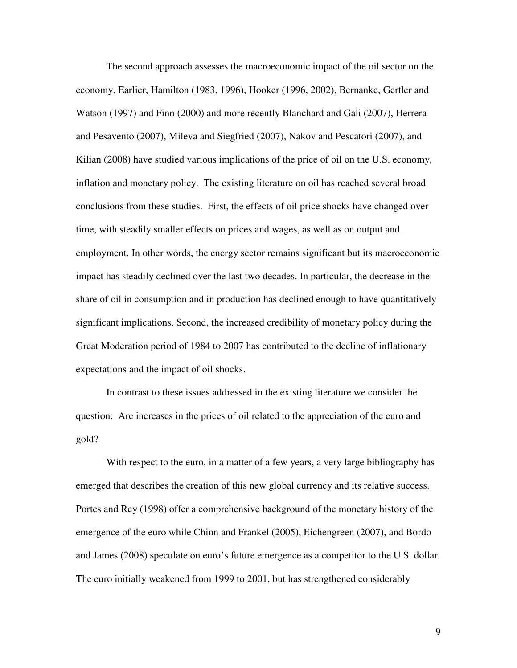The second approach assesses the macroeconomic impact of the oil sector on the economy. Earlier, Hamilton (1983, 1996), Hooker (1996, 2002), Bernanke, Gertler and Watson (1997) and Finn (2000) and more recently Blanchard and Gali (2007), Herrera and Pesavento (2007), Mileva and Siegfried (2007), Nakov and Pescatori (2007), and Kilian (2008) have studied various implications of the price of oil on the U.S. economy, inflation and monetary policy. The existing literature on oil has reached several broad conclusions from these studies. First, the effects of oil price shocks have changed over time, with steadily smaller effects on prices and wages, as well as on output and employment. In other words, the energy sector remains significant but its macroeconomic impact has steadily declined over the last two decades. In particular, the decrease in the share of oil in consumption and in production has declined enough to have quantitatively significant implications. Second, the increased credibility of monetary policy during the Great Moderation period of 1984 to 2007 has contributed to the decline of inflationary expectations and the impact of oil shocks.

 In contrast to these issues addressed in the existing literature we consider the question: Are increases in the prices of oil related to the appreciation of the euro and gold?

 With respect to the euro, in a matter of a few years, a very large bibliography has emerged that describes the creation of this new global currency and its relative success. Portes and Rey (1998) offer a comprehensive background of the monetary history of the emergence of the euro while Chinn and Frankel (2005), Eichengreen (2007), and Bordo and James (2008) speculate on euro's future emergence as a competitor to the U.S. dollar. The euro initially weakened from 1999 to 2001, but has strengthened considerably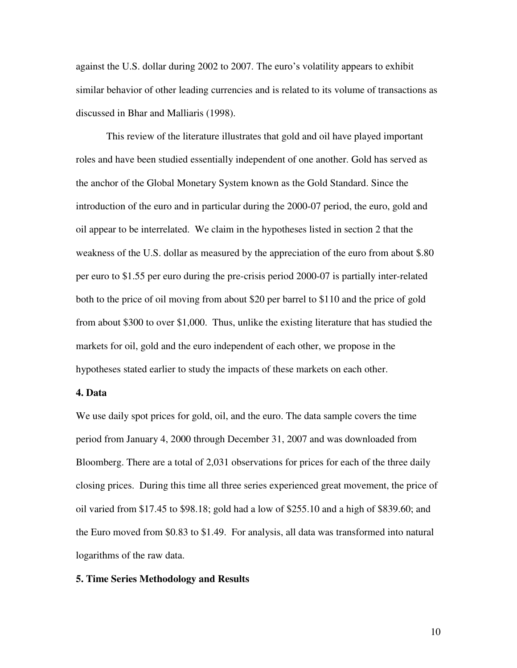against the U.S. dollar during 2002 to 2007. The euro's volatility appears to exhibit similar behavior of other leading currencies and is related to its volume of transactions as discussed in Bhar and Malliaris (1998).

 This review of the literature illustrates that gold and oil have played important roles and have been studied essentially independent of one another. Gold has served as the anchor of the Global Monetary System known as the Gold Standard. Since the introduction of the euro and in particular during the 2000-07 period, the euro, gold and oil appear to be interrelated. We claim in the hypotheses listed in section 2 that the weakness of the U.S. dollar as measured by the appreciation of the euro from about \$.80 per euro to \$1.55 per euro during the pre-crisis period 2000-07 is partially inter-related both to the price of oil moving from about \$20 per barrel to \$110 and the price of gold from about \$300 to over \$1,000. Thus, unlike the existing literature that has studied the markets for oil, gold and the euro independent of each other, we propose in the hypotheses stated earlier to study the impacts of these markets on each other.

## **4. Data**

We use daily spot prices for gold, oil, and the euro. The data sample covers the time period from January 4, 2000 through December 31, 2007 and was downloaded from Bloomberg. There are a total of 2,031 observations for prices for each of the three daily closing prices. During this time all three series experienced great movement, the price of oil varied from \$17.45 to \$98.18; gold had a low of \$255.10 and a high of \$839.60; and the Euro moved from \$0.83 to \$1.49. For analysis, all data was transformed into natural logarithms of the raw data.

#### **5. Time Series Methodology and Results**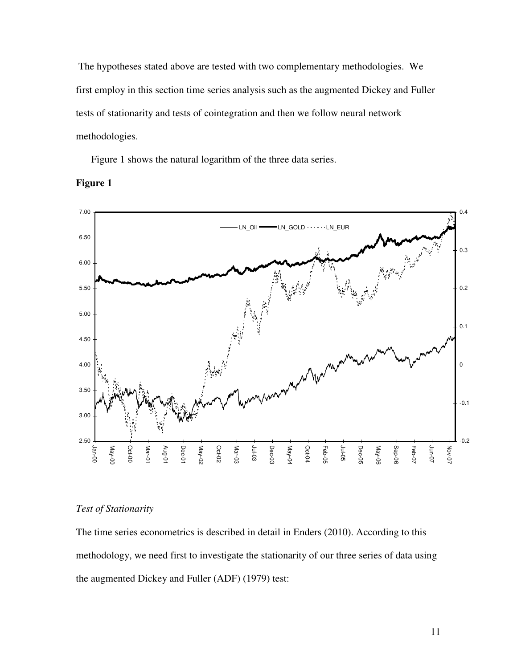The hypotheses stated above are tested with two complementary methodologies. We first employ in this section time series analysis such as the augmented Dickey and Fuller tests of stationarity and tests of cointegration and then we follow neural network methodologies.

Figure 1 shows the natural logarithm of the three data series.



## **Figure 1**

## *Test of Stationarity*

The time series econometrics is described in detail in Enders (2010). According to this methodology, we need first to investigate the stationarity of our three series of data using the augmented Dickey and Fuller (ADF) (1979) test: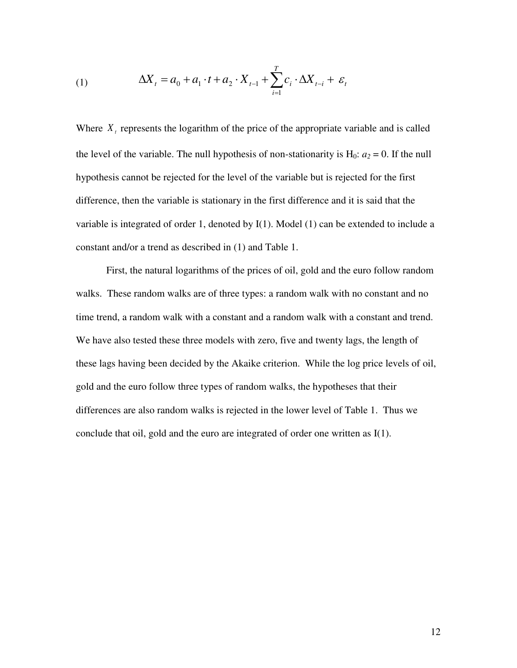(1) 
$$
\Delta X_{t} = a_{0} + a_{1} \cdot t + a_{2} \cdot X_{t-1} + \sum_{i=1}^{T} c_{i} \cdot \Delta X_{t-i} + \varepsilon_{t}
$$

Where  $X_t$  represents the logarithm of the price of the appropriate variable and is called the level of the variable. The null hypothesis of non-stationarity is  $H_0$ :  $a_2 = 0$ . If the null hypothesis cannot be rejected for the level of the variable but is rejected for the first difference, then the variable is stationary in the first difference and it is said that the variable is integrated of order 1, denoted by I(1). Model (1) can be extended to include a constant and/or a trend as described in (1) and Table 1.

 First, the natural logarithms of the prices of oil, gold and the euro follow random walks. These random walks are of three types: a random walk with no constant and no time trend, a random walk with a constant and a random walk with a constant and trend. We have also tested these three models with zero, five and twenty lags, the length of these lags having been decided by the Akaike criterion. While the log price levels of oil, gold and the euro follow three types of random walks, the hypotheses that their differences are also random walks is rejected in the lower level of Table 1. Thus we conclude that oil, gold and the euro are integrated of order one written as I(1).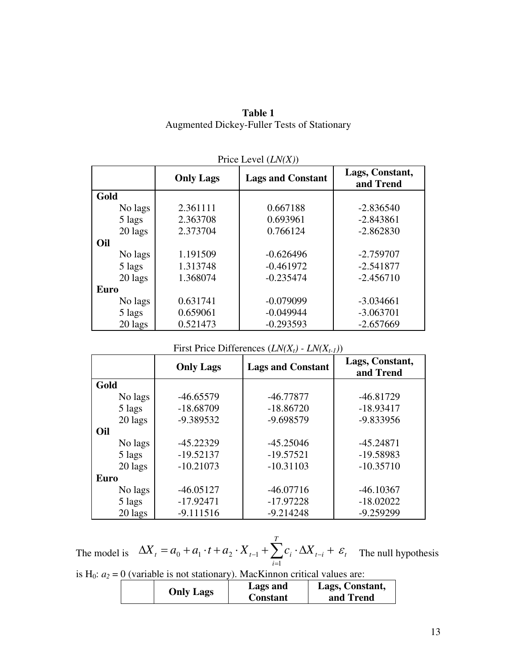# **Table 1**  Augmented Dickey-Fuller Tests of Stationary

|         | $\Gamma$ IIUC LCVCI (LIV $(\Lambda)$ ) |                          |                              |  |  |
|---------|----------------------------------------|--------------------------|------------------------------|--|--|
|         | <b>Only Lags</b>                       | <b>Lags and Constant</b> | Lags, Constant,<br>and Trend |  |  |
| Gold    |                                        |                          |                              |  |  |
| No lags | 2.361111                               | 0.667188                 | $-2.836540$                  |  |  |
| 5 lags  | 2.363708                               | 0.693961                 | $-2.843861$                  |  |  |
| 20 lags | 2.373704                               | 0.766124                 | $-2.862830$                  |  |  |
| Oil     |                                        |                          |                              |  |  |
| No lags | 1.191509                               | $-0.626496$              | $-2.759707$                  |  |  |
| 5 lags  | 1.313748                               | $-0.461972$              | $-2.541877$                  |  |  |
| 20 lags | 1.368074                               | $-0.235474$              | $-2.456710$                  |  |  |
| Euro    |                                        |                          |                              |  |  |
| No lags | 0.631741                               | $-0.079099$              | $-3.034661$                  |  |  |
| 5 lags  | 0.659061                               | $-0.049944$              | $-3.063701$                  |  |  |
| 20 lags | 0.521473                               | $-0.293593$              | $-2.657669$                  |  |  |

## Price Level (*LN(X)*)

| First Price Differences $(LN(X_t) - LN(X_{t-1}))$ |  |  |
|---------------------------------------------------|--|--|
|---------------------------------------------------|--|--|

|         | <b>Only Lags</b> | <b>Lags and Constant</b> | Lags, Constant,<br>and Trend |
|---------|------------------|--------------------------|------------------------------|
| Gold    |                  |                          |                              |
| No lags | $-46.65579$      | $-46.77877$              | $-46.81729$                  |
| 5 lags  | $-18.68709$      | $-18.86720$              | $-18.93417$                  |
| 20 lags | -9.389532        | $-9.698579$              | -9.833956                    |
| Oil     |                  |                          |                              |
| No lags | $-45.22329$      | $-45.25046$              | $-45.24871$                  |
| 5 lags  | $-19.52137$      | $-19.57521$              | -19.58983                    |
| 20 lags | $-10.21073$      | $-10.31103$              | $-10.35710$                  |
| Euro    |                  |                          |                              |
| No lags | $-46.05127$      | $-46.07716$              | $-46.10367$                  |
| 5 lags  | $-17.92471$      | $-17.97228$              | $-18.02022$                  |
| 20 lags | $-9.111516$      | $-9.214248$              | $-9.259299$                  |

The model is  $\Delta X_t = a_0 + a_1 \cdot t + a_2 \cdot X_{t-1} + \sum_i c_i \cdot \Delta X_{t-i} + \varepsilon_t$ *T i*  $X_t = a_0 + a_1 \cdot t + a_2 \cdot X_{t-1} + \sum c_i \cdot \Delta X_{t-i} + \varepsilon$  $=$  $\Delta X_t = a_0 + a_1 \cdot t + a_2 \cdot X_{t-1} + \sum_{i} c_i \cdot \Delta X_{t-i} +$ 1  $0 + a_1 \cdot i + a_2 \cdot X_{t-1} + \sum_{i} c_i \cdot \Delta X_{t-i} + \varepsilon_t$  The null hypothesis

is H<sub>0</sub>:  $a_2 = 0$  (variable is not stationary). MacKinnon critical values are:

|--|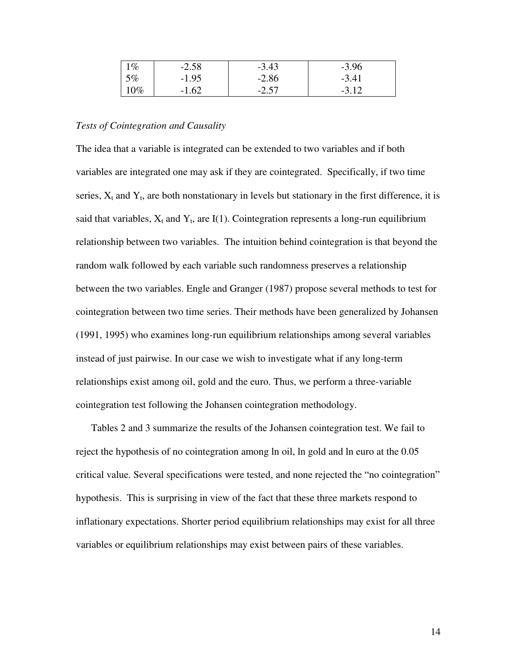| $1\%$ | $-2.58$ | $-3.43$ | $-3.96$ |
|-------|---------|---------|---------|
| 5%    | $-1.95$ | $-2.86$ | $-3.41$ |
| 10%   | $-1.62$ | $-2.57$ | $-3.12$ |

## *Tests of Cointegration and Causality*

The idea that a variable is integrated can be extended to two variables and if both variables are integrated one may ask if they are cointegrated. Specifically, if two time series,  $X_t$  and  $Y_t$ , are both nonstationary in levels but stationary in the first difference, it is said that variables,  $X_t$  and  $Y_t$ , are I(1). Cointegration represents a long-run equilibrium relationship between two variables. The intuition behind cointegration is that beyond the random walk followed by each variable such randomness preserves a relationship between the two variables. Engle and Granger (1987) propose several methods to test for cointegration between two time series. Their methods have been generalized by Johansen (1991, 1995) who examines long-run equilibrium relationships among several variables instead of just pairwise. In our case we wish to investigate what if any long-term relationships exist among oil, gold and the euro. Thus, we perform a three-variable cointegration test following the Johansen cointegration methodology.

 Tables 2 and 3 summarize the results of the Johansen cointegration test. We fail to reject the hypothesis of no cointegration among ln oil, ln gold and ln euro at the 0.05 critical value. Several specifications were tested, and none rejected the "no cointegration" hypothesis. This is surprising in view of the fact that these three markets respond to inflationary expectations. Shorter period equilibrium relationships may exist for all three variables or equilibrium relationships may exist between pairs of these variables.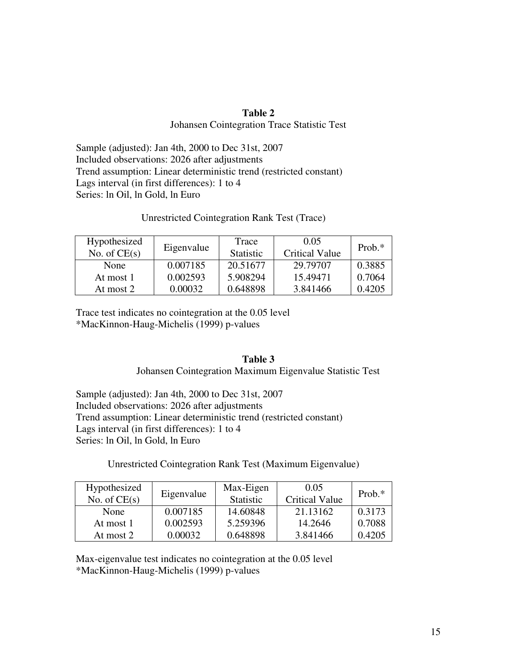# **Table 2**  Johansen Cointegration Trace Statistic Test

Sample (adjusted): Jan 4th, 2000 to Dec 31st, 2007 Included observations: 2026 after adjustments Trend assumption: Linear deterministic trend (restricted constant) Lags interval (in first differences): 1 to 4 Series: ln Oil, ln Gold, ln Euro

# Unrestricted Cointegration Rank Test (Trace)

| Hypothesized<br>No. of $CE(s)$ | Eigenvalue | Trace<br><b>Statistic</b> | 0.05<br><b>Critical Value</b> | Prob. $*$ |
|--------------------------------|------------|---------------------------|-------------------------------|-----------|
| None                           | 0.007185   | 20.51677                  | 29.79707                      | 0.3885    |
| At most 1                      | 0.002593   | 5.908294                  | 15.49471                      | 0.7064    |
| At most 2                      | 0.00032    | 0.648898                  | 3.841466                      | 0.4205    |

Trace test indicates no cointegration at the 0.05 level \*MacKinnon-Haug-Michelis (1999) p-values

# **Table 3**

## Johansen Cointegration Maximum Eigenvalue Statistic Test

Sample (adjusted): Jan 4th, 2000 to Dec 31st, 2007 Included observations: 2026 after adjustments Trend assumption: Linear deterministic trend (restricted constant) Lags interval (in first differences): 1 to 4 Series: ln Oil, ln Gold, ln Euro

# Unrestricted Cointegration Rank Test (Maximum Eigenvalue)

| Hypothesized   | Eigenvalue | Max-Eigen        | 0.05                  | Prob. $*$ |
|----------------|------------|------------------|-----------------------|-----------|
| No. of $CE(s)$ |            | <b>Statistic</b> | <b>Critical Value</b> |           |
| None           | 0.007185   | 14.60848         | 21.13162              | 0.3173    |
| At most 1      | 0.002593   | 5.259396         | 14.2646               | 0.7088    |
| At most 2      | 0.00032    | 0.648898         | 3.841466              | 0.4205    |

Max-eigenvalue test indicates no cointegration at the 0.05 level \*MacKinnon-Haug-Michelis (1999) p-values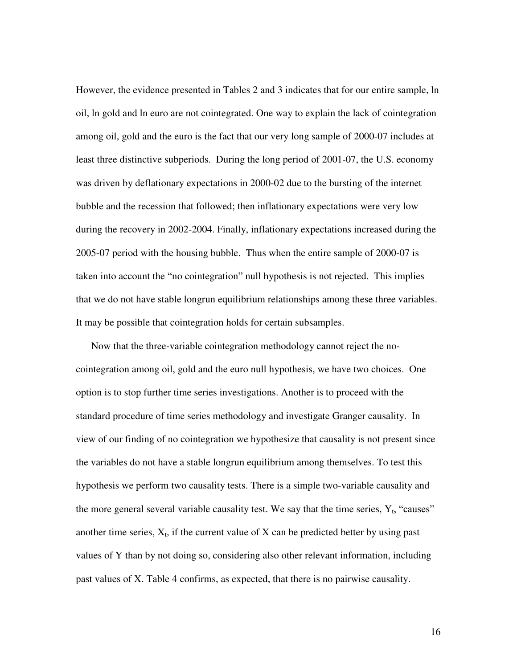However, the evidence presented in Tables 2 and 3 indicates that for our entire sample, ln oil, ln gold and ln euro are not cointegrated. One way to explain the lack of cointegration among oil, gold and the euro is the fact that our very long sample of 2000-07 includes at least three distinctive subperiods. During the long period of 2001-07, the U.S. economy was driven by deflationary expectations in 2000-02 due to the bursting of the internet bubble and the recession that followed; then inflationary expectations were very low during the recovery in 2002-2004. Finally, inflationary expectations increased during the 2005-07 period with the housing bubble. Thus when the entire sample of 2000-07 is taken into account the "no cointegration" null hypothesis is not rejected. This implies that we do not have stable longrun equilibrium relationships among these three variables. It may be possible that cointegration holds for certain subsamples.

 Now that the three-variable cointegration methodology cannot reject the nocointegration among oil, gold and the euro null hypothesis, we have two choices. One option is to stop further time series investigations. Another is to proceed with the standard procedure of time series methodology and investigate Granger causality. In view of our finding of no cointegration we hypothesize that causality is not present since the variables do not have a stable longrun equilibrium among themselves. To test this hypothesis we perform two causality tests. There is a simple two-variable causality and the more general several variable causality test. We say that the time series,  $Y_t$ , "causes" another time series,  $X_t$ , if the current value of  $X$  can be predicted better by using past values of Y than by not doing so, considering also other relevant information, including past values of X. Table 4 confirms, as expected, that there is no pairwise causality.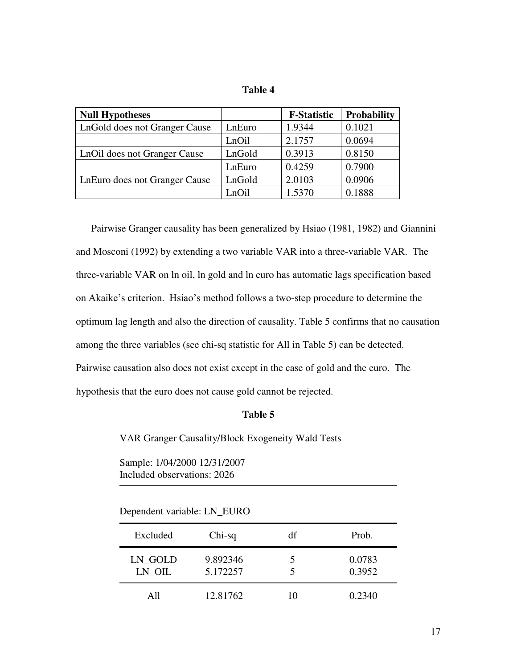| anıe |  |
|------|--|
|------|--|

| <b>Null Hypotheses</b>        |        | <b>F-Statistic</b> | <b>Probability</b> |
|-------------------------------|--------|--------------------|--------------------|
| LnGold does not Granger Cause | LnEuro | 1.9344             | 0.1021             |
|                               | LnOil  | 2.1757             | 0.0694             |
| LnOil does not Granger Cause  | LnGold | 0.3913             | 0.8150             |
|                               | LnEuro | 0.4259             | 0.7900             |
| LnEuro does not Granger Cause | LnGold | 2.0103             | 0.0906             |
|                               | LnOil  | 1.5370             | 0.1888             |

 Pairwise Granger causality has been generalized by Hsiao (1981, 1982) and Giannini and Mosconi (1992) by extending a two variable VAR into a three-variable VAR. The three-variable VAR on ln oil, ln gold and ln euro has automatic lags specification based on Akaike's criterion. Hsiao's method follows a two-step procedure to determine the optimum lag length and also the direction of causality. Table 5 confirms that no causation among the three variables (see chi-sq statistic for All in Table 5) can be detected. Pairwise causation also does not exist except in the case of gold and the euro. The hypothesis that the euro does not cause gold cannot be rejected.

# **Table 5**

VAR Granger Causality/Block Exogeneity Wald Tests

Sample: 1/04/2000 12/31/2007 Included observations: 2026

Dependent variable: LN\_EURO

| Excluded          | $Chi-sq$             | df | Prob.            |
|-------------------|----------------------|----|------------------|
| LN_GOLD<br>LN OIL | 9.892346<br>5.172257 | 5  | 0.0783<br>0.3952 |
| A11               | 12.81762             | 10 | 0.2340           |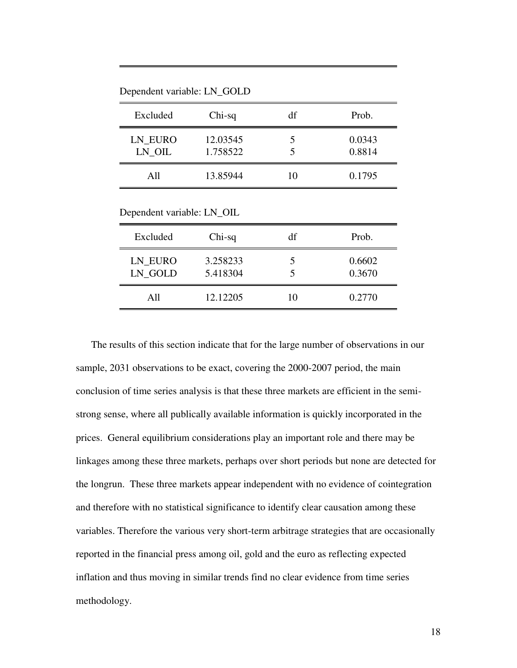Dependent variable: LN\_GOLD

| Excluded          | $Chi-sq$             | df | Prob.            |
|-------------------|----------------------|----|------------------|
| LN_EURO<br>LN OIL | 12.03545<br>1.758522 | ད  | 0.0343<br>0.8814 |
| A11               | 13.85944             | 10 | 0.1795           |

Dependent variable: LN\_OIL

| Excluded           | $Chi-sq$             | df | Prob.            |
|--------------------|----------------------|----|------------------|
| LN EURO<br>LN_GOLD | 3.258233<br>5.418304 |    | 0.6602<br>0.3670 |
| A11                | 12.12205             | 10 | 0.2770           |
|                    |                      |    |                  |

 The results of this section indicate that for the large number of observations in our sample, 2031 observations to be exact, covering the 2000-2007 period, the main conclusion of time series analysis is that these three markets are efficient in the semistrong sense, where all publically available information is quickly incorporated in the prices. General equilibrium considerations play an important role and there may be linkages among these three markets, perhaps over short periods but none are detected for the longrun. These three markets appear independent with no evidence of cointegration and therefore with no statistical significance to identify clear causation among these variables. Therefore the various very short-term arbitrage strategies that are occasionally reported in the financial press among oil, gold and the euro as reflecting expected inflation and thus moving in similar trends find no clear evidence from time series methodology.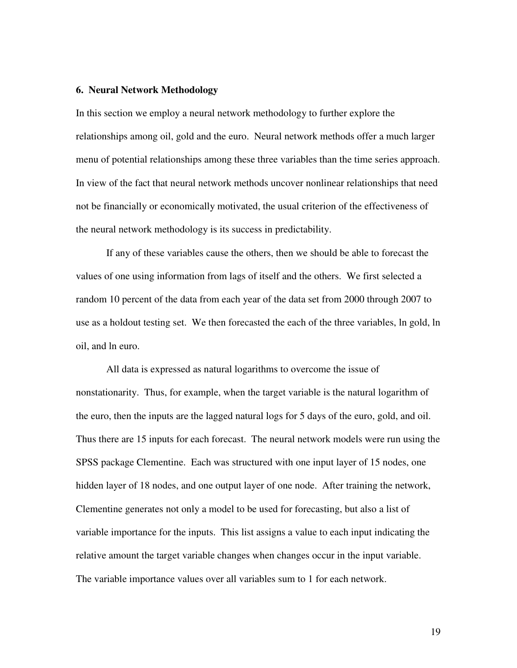## **6. Neural Network Methodology**

In this section we employ a neural network methodology to further explore the relationships among oil, gold and the euro. Neural network methods offer a much larger menu of potential relationships among these three variables than the time series approach. In view of the fact that neural network methods uncover nonlinear relationships that need not be financially or economically motivated, the usual criterion of the effectiveness of the neural network methodology is its success in predictability.

If any of these variables cause the others, then we should be able to forecast the values of one using information from lags of itself and the others. We first selected a random 10 percent of the data from each year of the data set from 2000 through 2007 to use as a holdout testing set. We then forecasted the each of the three variables, ln gold, ln oil, and ln euro.

All data is expressed as natural logarithms to overcome the issue of nonstationarity. Thus, for example, when the target variable is the natural logarithm of the euro, then the inputs are the lagged natural logs for 5 days of the euro, gold, and oil. Thus there are 15 inputs for each forecast. The neural network models were run using the SPSS package Clementine. Each was structured with one input layer of 15 nodes, one hidden layer of 18 nodes, and one output layer of one node. After training the network, Clementine generates not only a model to be used for forecasting, but also a list of variable importance for the inputs. This list assigns a value to each input indicating the relative amount the target variable changes when changes occur in the input variable. The variable importance values over all variables sum to 1 for each network.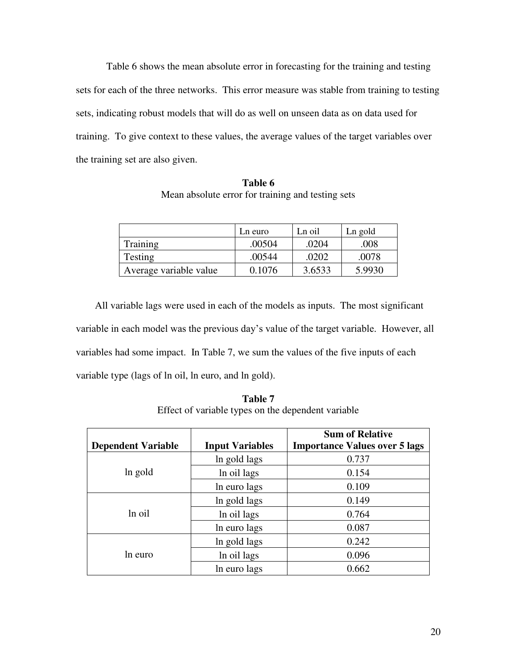Table 6 shows the mean absolute error in forecasting for the training and testing sets for each of the three networks. This error measure was stable from training to testing sets, indicating robust models that will do as well on unseen data as on data used for training. To give context to these values, the average values of the target variables over the training set are also given.

**Table 6**  Mean absolute error for training and testing sets

|                        | Ln euro | Ln oil | Ln gold |
|------------------------|---------|--------|---------|
| Training               | .00504  | .0204  | .008    |
| Testing                | .00544  | .0202  | .0078   |
| Average variable value | 0.1076  | 3.6533 | 5.9930  |

All variable lags were used in each of the models as inputs. The most significant variable in each model was the previous day's value of the target variable. However, all variables had some impact. In Table 7, we sum the values of the five inputs of each variable type (lags of ln oil, ln euro, and ln gold).

**Table 7**  Effect of variable types on the dependent variable

|                           |                        | <b>Sum of Relative</b>               |
|---------------------------|------------------------|--------------------------------------|
| <b>Dependent Variable</b> | <b>Input Variables</b> | <b>Importance Values over 5 lags</b> |
| ln gold                   | In gold lags           | 0.737                                |
|                           | In oil lags            | 0.154                                |
|                           | In euro lags           | 0.109                                |
| ln oil                    | In gold lags           | 0.149                                |
|                           | In oil lags            | 0.764                                |
|                           | In euro lags           | 0.087                                |
| ln euro                   | In gold lags           | 0.242                                |
|                           | In oil lags            | 0.096                                |
|                           | In euro lags           | 0.662                                |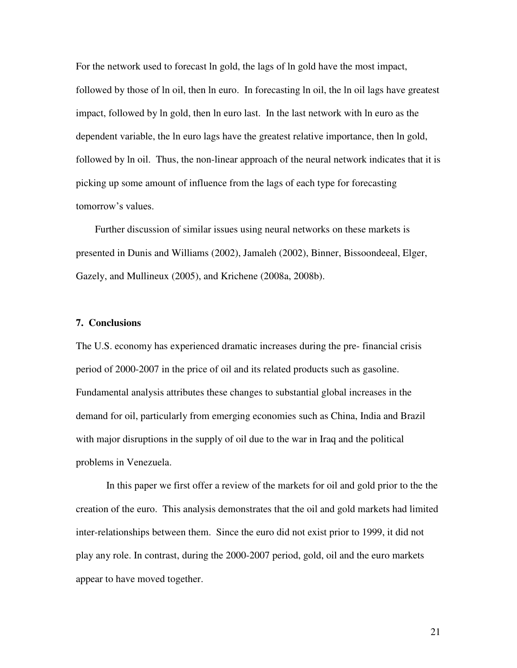For the network used to forecast ln gold, the lags of ln gold have the most impact, followed by those of ln oil, then ln euro. In forecasting ln oil, the ln oil lags have greatest impact, followed by ln gold, then ln euro last. In the last network with ln euro as the dependent variable, the ln euro lags have the greatest relative importance, then ln gold, followed by ln oil. Thus, the non-linear approach of the neural network indicates that it is picking up some amount of influence from the lags of each type for forecasting tomorrow's values.

Further discussion of similar issues using neural networks on these markets is presented in Dunis and Williams (2002), Jamaleh (2002), Binner, Bissoondeeal, Elger, Gazely, and Mullineux (2005), and Krichene (2008a, 2008b).

## **7. Conclusions**

The U.S. economy has experienced dramatic increases during the pre- financial crisis period of 2000-2007 in the price of oil and its related products such as gasoline. Fundamental analysis attributes these changes to substantial global increases in the demand for oil, particularly from emerging economies such as China, India and Brazil with major disruptions in the supply of oil due to the war in Iraq and the political problems in Venezuela.

 In this paper we first offer a review of the markets for oil and gold prior to the the creation of the euro. This analysis demonstrates that the oil and gold markets had limited inter-relationships between them. Since the euro did not exist prior to 1999, it did not play any role. In contrast, during the 2000-2007 period, gold, oil and the euro markets appear to have moved together.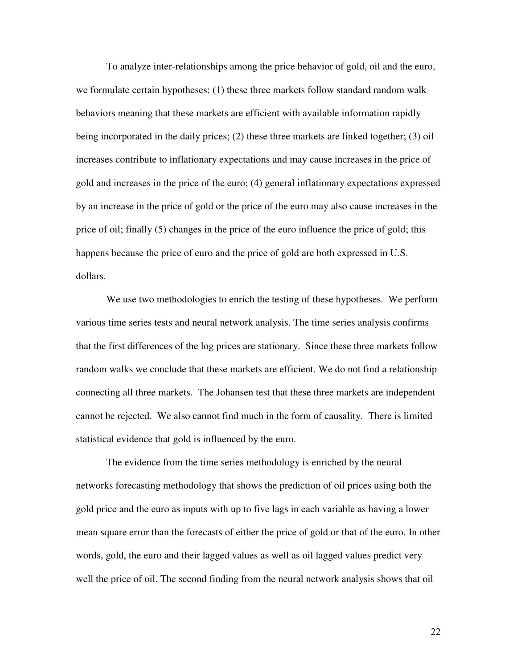To analyze inter-relationships among the price behavior of gold, oil and the euro, we formulate certain hypotheses: (1) these three markets follow standard random walk behaviors meaning that these markets are efficient with available information rapidly being incorporated in the daily prices; (2) these three markets are linked together; (3) oil increases contribute to inflationary expectations and may cause increases in the price of gold and increases in the price of the euro; (4) general inflationary expectations expressed by an increase in the price of gold or the price of the euro may also cause increases in the price of oil; finally (5) changes in the price of the euro influence the price of gold; this happens because the price of euro and the price of gold are both expressed in U.S. dollars.

 We use two methodologies to enrich the testing of these hypotheses. We perform various time series tests and neural network analysis. The time series analysis confirms that the first differences of the log prices are stationary. Since these three markets follow random walks we conclude that these markets are efficient. We do not find a relationship connecting all three markets. The Johansen test that these three markets are independent cannot be rejected. We also cannot find much in the form of causality. There is limited statistical evidence that gold is influenced by the euro.

The evidence from the time series methodology is enriched by the neural networks forecasting methodology that shows the prediction of oil prices using both the gold price and the euro as inputs with up to five lags in each variable as having a lower mean square error than the forecasts of either the price of gold or that of the euro. In other words, gold, the euro and their lagged values as well as oil lagged values predict very well the price of oil. The second finding from the neural network analysis shows that oil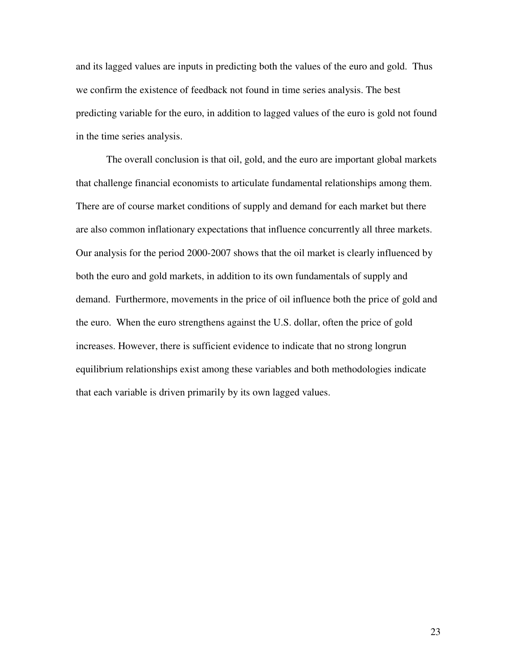and its lagged values are inputs in predicting both the values of the euro and gold. Thus we confirm the existence of feedback not found in time series analysis. The best predicting variable for the euro, in addition to lagged values of the euro is gold not found in the time series analysis.

 The overall conclusion is that oil, gold, and the euro are important global markets that challenge financial economists to articulate fundamental relationships among them. There are of course market conditions of supply and demand for each market but there are also common inflationary expectations that influence concurrently all three markets. Our analysis for the period 2000-2007 shows that the oil market is clearly influenced by both the euro and gold markets, in addition to its own fundamentals of supply and demand. Furthermore, movements in the price of oil influence both the price of gold and the euro. When the euro strengthens against the U.S. dollar, often the price of gold increases. However, there is sufficient evidence to indicate that no strong longrun equilibrium relationships exist among these variables and both methodologies indicate that each variable is driven primarily by its own lagged values.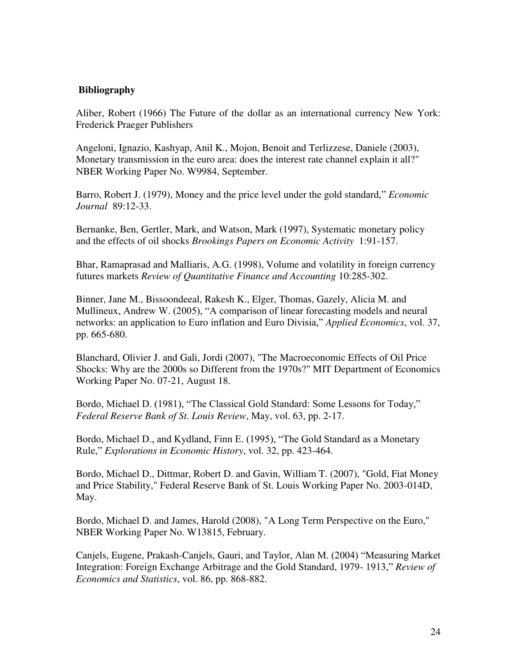## **Bibliography**

Aliber, Robert (1966) The Future of the dollar as an international currency New York: Frederick Praeger Publishers

Angeloni, Ignazio, Kashyap, Anil K., Mojon, Benoit and Terlizzese, Daniele (2003), Monetary transmission in the euro area: does the interest rate channel explain it all?" NBER Working Paper No. W9984, September.

Barro, Robert J. (1979), Money and the price level under the gold standard," *Economic Journal* 89:12-33.

Bernanke, Ben, Gertler, Mark, and Watson, Mark (1997), Systematic monetary policy and the effects of oil shocks *Brookings Papers on Economic Activity* 1:91-157.

Bhar, Ramaprasad and Malliaris, A.G. (1998), Volume and volatility in foreign currency futures markets *Review of Quantitative Finance and Accounting* 10:285-302.

Binner, Jane M., Bissoondeeal, Rakesh K., Elger, Thomas, Gazely, Alicia M. and Mullineux, Andrew W. (2005), "A comparison of linear forecasting models and neural networks: an application to Euro inflation and Euro Divisia," *Applied Economics*, vol. 37, pp. 665-680.

Blanchard, Olivier J. and Gali, Jordi (2007), "The Macroeconomic Effects of Oil Price Shocks: Why are the 2000s so Different from the 1970s?" MIT Department of Economics Working Paper No. 07-21, August 18.

Bordo, Michael D. (1981), "The Classical Gold Standard: Some Lessons for Today," *Federal Reserve Bank of St. Louis Review*, May, vol. 63, pp. 2-17.

Bordo, Michael D., and Kydland, Finn E. (1995), "The Gold Standard as a Monetary Rule," *Explorations in Economic History*, vol. 32, pp. 423-464.

Bordo, Michael D., Dittmar, Robert D. and Gavin, William T. (2007), "Gold, Fiat Money and Price Stability," Federal Reserve Bank of St. Louis Working Paper No. 2003-014D, May.

Bordo, Michael D. and James, Harold (2008), "A Long Term Perspective on the Euro," NBER Working Paper No. W13815, February.

Canjels, Eugene, Prakash-Canjels, Gauri, and Taylor, Alan M. (2004) "Measuring Market Integration: Foreign Exchange Arbitrage and the Gold Standard, 1979- 1913," *Review of Economics and Statistics*, vol. 86, pp. 868-882.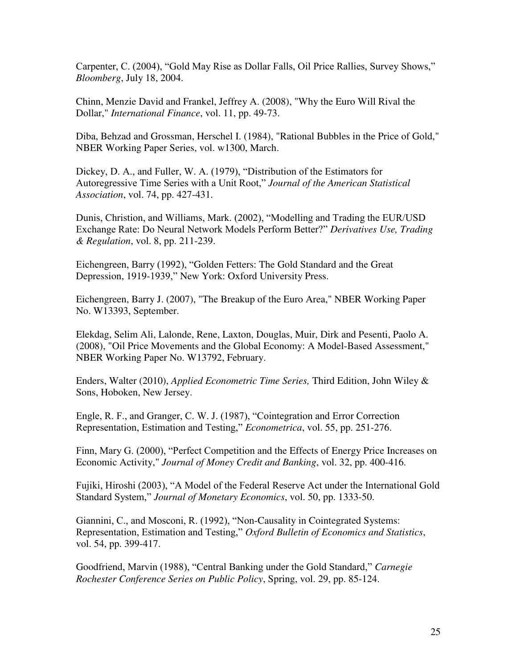Carpenter, C. (2004), "Gold May Rise as Dollar Falls, Oil Price Rallies, Survey Shows," *Bloomberg*, July 18, 2004.

Chinn, Menzie David and Frankel, Jeffrey A. (2008), "Why the Euro Will Rival the Dollar," *International Finance*, vol. 11, pp. 49-73.

Diba, Behzad and Grossman, Herschel I. (1984), "Rational Bubbles in the Price of Gold," NBER Working Paper Series, vol. w1300, March.

Dickey, D. A., and Fuller, W. A. (1979), "Distribution of the Estimators for Autoregressive Time Series with a Unit Root," *Journal of the American Statistical Association*, vol. 74, pp. 427-431.

Dunis, Christion, and Williams, Mark. (2002), "Modelling and Trading the EUR/USD Exchange Rate: Do Neural Network Models Perform Better?" *Derivatives Use, Trading & Regulation*, vol. 8, pp. 211-239.

Eichengreen, Barry (1992), "Golden Fetters: The Gold Standard and the Great Depression, 1919-1939," New York: Oxford University Press.

Eichengreen, Barry J. (2007), "The Breakup of the Euro Area," NBER Working Paper No. W13393, September.

Elekdag, Selim Ali, Lalonde, Rene, Laxton, Douglas, Muir, Dirk and Pesenti, Paolo A. (2008), "Oil Price Movements and the Global Economy: A Model-Based Assessment," NBER Working Paper No. W13792, February.

Enders, Walter (2010), *Applied Econometric Time Series,* Third Edition, John Wiley & Sons, Hoboken, New Jersey.

Engle, R. F., and Granger, C. W. J. (1987), "Cointegration and Error Correction Representation, Estimation and Testing," *Econometrica*, vol. 55, pp. 251-276.

Finn, Mary G. (2000), "Perfect Competition and the Effects of Energy Price Increases on Economic Activity," *Journal of Money Credit and Banking*, vol. 32, pp. 400-416.

Fujiki, Hiroshi (2003), "A Model of the Federal Reserve Act under the International Gold Standard System," *Journal of Monetary Economics*, vol. 50, pp. 1333-50.

Giannini, C., and Mosconi, R. (1992), "Non-Causality in Cointegrated Systems: Representation, Estimation and Testing," *Oxford Bulletin of Economics and Statistics*, vol. 54, pp. 399-417.

Goodfriend, Marvin (1988), "Central Banking under the Gold Standard," *Carnegie Rochester Conference Series on Public Policy*, Spring, vol. 29, pp. 85-124.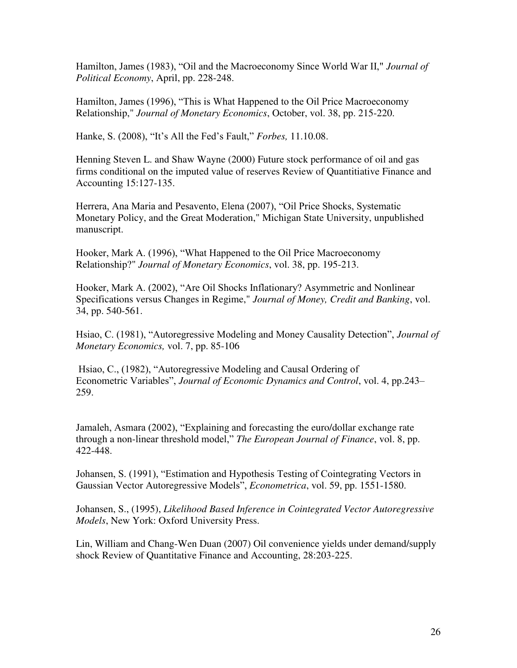Hamilton, James (1983), "Oil and the Macroeconomy Since World War II," *Journal of Political Economy*, April, pp. 228-248.

Hamilton, James (1996), "This is What Happened to the Oil Price Macroeconomy Relationship," *Journal of Monetary Economics*, October, vol. 38, pp. 215-220.

Hanke, S. (2008), "It's All the Fed's Fault," *Forbes,* 11.10.08.

Henning Steven L. and Shaw Wayne (2000) Future stock performance of oil and gas firms conditional on the imputed value of reserves Review of Quantitiative Finance and Accounting 15:127-135.

Herrera, Ana Maria and Pesavento, Elena (2007), "Oil Price Shocks, Systematic Monetary Policy, and the Great Moderation," Michigan State University, unpublished manuscript.

Hooker, Mark A. (1996), "What Happened to the Oil Price Macroeconomy Relationship?" *Journal of Monetary Economics*, vol. 38, pp. 195-213.

Hooker, Mark A. (2002), "Are Oil Shocks Inflationary? Asymmetric and Nonlinear Specifications versus Changes in Regime," *Journal of Money, Credit and Banking*, vol. 34, pp. 540-561.

Hsiao, C. (1981), "Autoregressive Modeling and Money Causality Detection", *Journal of Monetary Economics,* vol. 7, pp. 85-106

Hsiao, C., (1982), "Autoregressive Modeling and Causal Ordering of Econometric Variables", *Journal of Economic Dynamics and Control*, vol. 4, pp.243– 259.

Jamaleh, Asmara (2002), "Explaining and forecasting the euro/dollar exchange rate through a non-linear threshold model," *The European Journal of Finance*, vol. 8, pp. 422-448.

Johansen, S. (1991), "Estimation and Hypothesis Testing of Cointegrating Vectors in Gaussian Vector Autoregressive Models", *Econometrica*, vol. 59, pp. 1551-1580.

Johansen, S., (1995), *Likelihood Based Inference in Cointegrated Vector Autoregressive Models*, New York: Oxford University Press.

Lin, William and Chang-Wen Duan (2007) Oil convenience yields under demand/supply shock Review of Quantitative Finance and Accounting, 28:203-225.